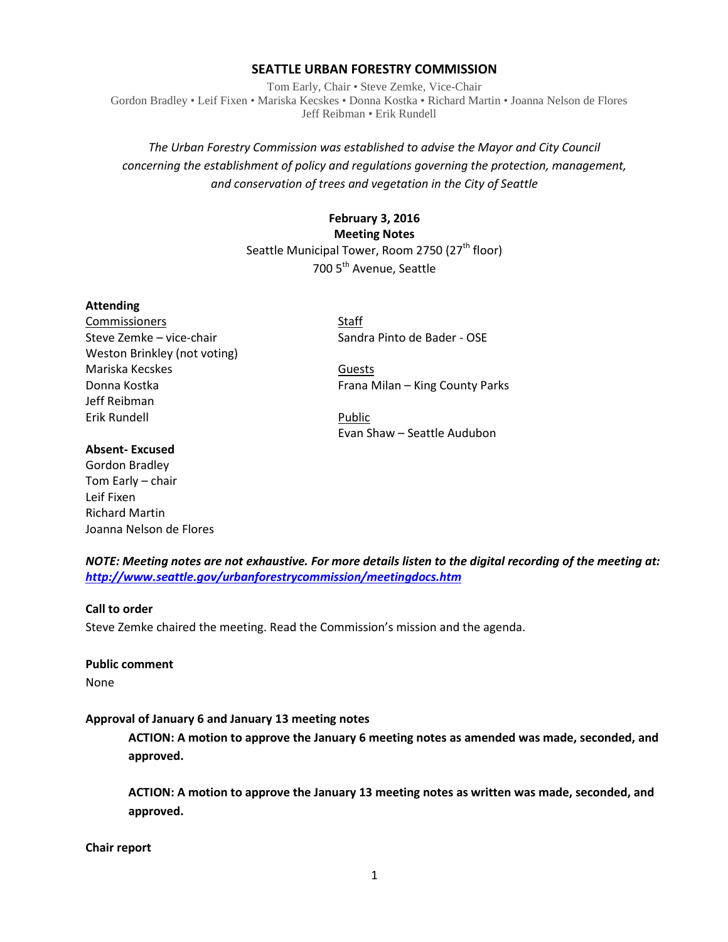#### **SEATTLE URBAN FORESTRY COMMISSION**

Tom Early, Chair • Steve Zemke, Vice-Chair Gordon Bradley • Leif Fixen • Mariska Kecskes • Donna Kostka • Richard Martin • Joanna Nelson de Flores Jeff Reibman • Erik Rundell

## *The Urban Forestry Commission was established to advise the Mayor and City Council concerning the establishment of policy and regulations governing the protection, management, and conservation of trees and vegetation in the City of Seattle*

# **February 3, 2016 Meeting Notes** Seattle Municipal Tower, Room 2750 (27<sup>th</sup> floor) 700 5<sup>th</sup> Avenue, Seattle

#### **Attending**

Commissioners Staff Steve Zemke – vice-chair Sandra Pinto de Bader - OSE Weston Brinkley (not voting) Mariska Kecskes Guests Jeff Reibman Erik Rundell Public

Donna Kostka **Frana Milan – King County Parks** 

Evan Shaw – Seattle Audubon

## **Absent- Excused**

Gordon Bradley Tom Early – chair Leif Fixen Richard Martin Joanna Nelson de Flores

*NOTE: Meeting notes are not exhaustive. For more details listen to the digital recording of the meeting at: <http://www.seattle.gov/urbanforestrycommission/meetingdocs.htm>*

#### **Call to order**

Steve Zemke chaired the meeting. Read the Commission's mission and the agenda.

# **Public comment**

None

#### **Approval of January 6 and January 13 meeting notes**

**ACTION: A motion to approve the January 6 meeting notes as amended was made, seconded, and approved.**

**ACTION: A motion to approve the January 13 meeting notes as written was made, seconded, and approved.**

#### **Chair report**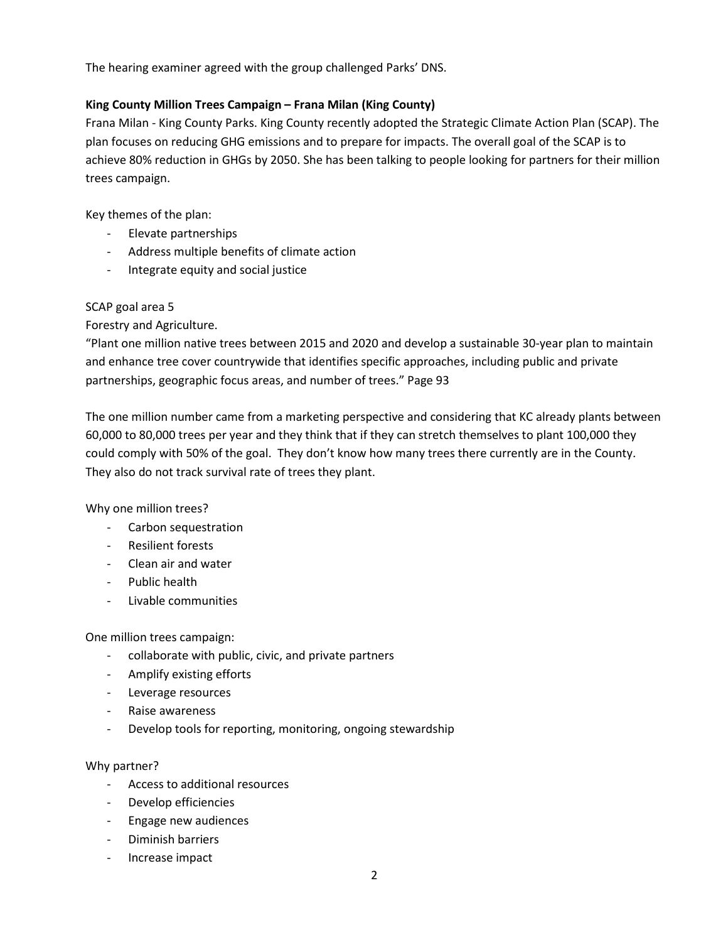The hearing examiner agreed with the group challenged Parks' DNS.

## **King County Million Trees Campaign – Frana Milan (King County)**

Frana Milan - King County Parks. King County recently adopted the Strategic Climate Action Plan (SCAP). The plan focuses on reducing GHG emissions and to prepare for impacts. The overall goal of the SCAP is to achieve 80% reduction in GHGs by 2050. She has been talking to people looking for partners for their million trees campaign.

Key themes of the plan:

- Elevate partnerships
- Address multiple benefits of climate action
- Integrate equity and social justice

## SCAP goal area 5

Forestry and Agriculture.

"Plant one million native trees between 2015 and 2020 and develop a sustainable 30-year plan to maintain and enhance tree cover countrywide that identifies specific approaches, including public and private partnerships, geographic focus areas, and number of trees." Page 93

The one million number came from a marketing perspective and considering that KC already plants between 60,000 to 80,000 trees per year and they think that if they can stretch themselves to plant 100,000 they could comply with 50% of the goal. They don't know how many trees there currently are in the County. They also do not track survival rate of trees they plant.

Why one million trees?

- Carbon sequestration
- Resilient forests
- Clean air and water
- Public health
- Livable communities

One million trees campaign:

- collaborate with public, civic, and private partners
- Amplify existing efforts
- Leverage resources
- Raise awareness
- Develop tools for reporting, monitoring, ongoing stewardship

## Why partner?

- Access to additional resources
- Develop efficiencies
- Engage new audiences
- Diminish barriers
- Increase impact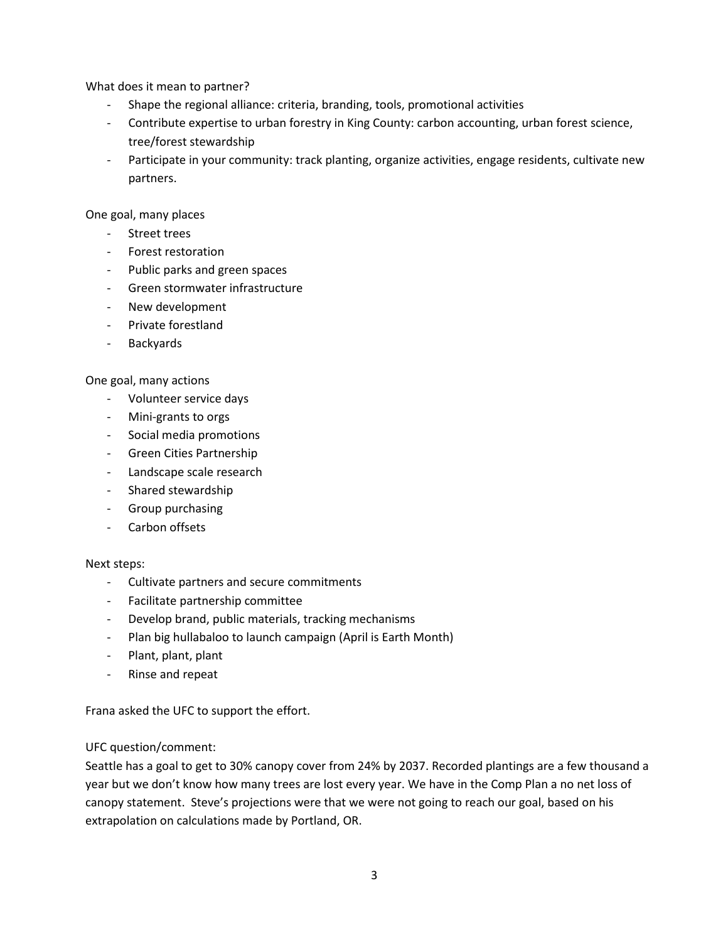What does it mean to partner?

- Shape the regional alliance: criteria, branding, tools, promotional activities
- Contribute expertise to urban forestry in King County: carbon accounting, urban forest science, tree/forest stewardship
- Participate in your community: track planting, organize activities, engage residents, cultivate new partners.

One goal, many places

- Street trees
- Forest restoration
- Public parks and green spaces
- Green stormwater infrastructure
- New development
- Private forestland
- Backyards

## One goal, many actions

- Volunteer service days
- Mini-grants to orgs
- Social media promotions
- Green Cities Partnership
- Landscape scale research
- Shared stewardship
- Group purchasing
- Carbon offsets

## Next steps:

- Cultivate partners and secure commitments
- Facilitate partnership committee
- Develop brand, public materials, tracking mechanisms
- Plan big hullabaloo to launch campaign (April is Earth Month)
- Plant, plant, plant
- Rinse and repeat

Frana asked the UFC to support the effort.

## UFC question/comment:

Seattle has a goal to get to 30% canopy cover from 24% by 2037. Recorded plantings are a few thousand a year but we don't know how many trees are lost every year. We have in the Comp Plan a no net loss of canopy statement. Steve's projections were that we were not going to reach our goal, based on his extrapolation on calculations made by Portland, OR.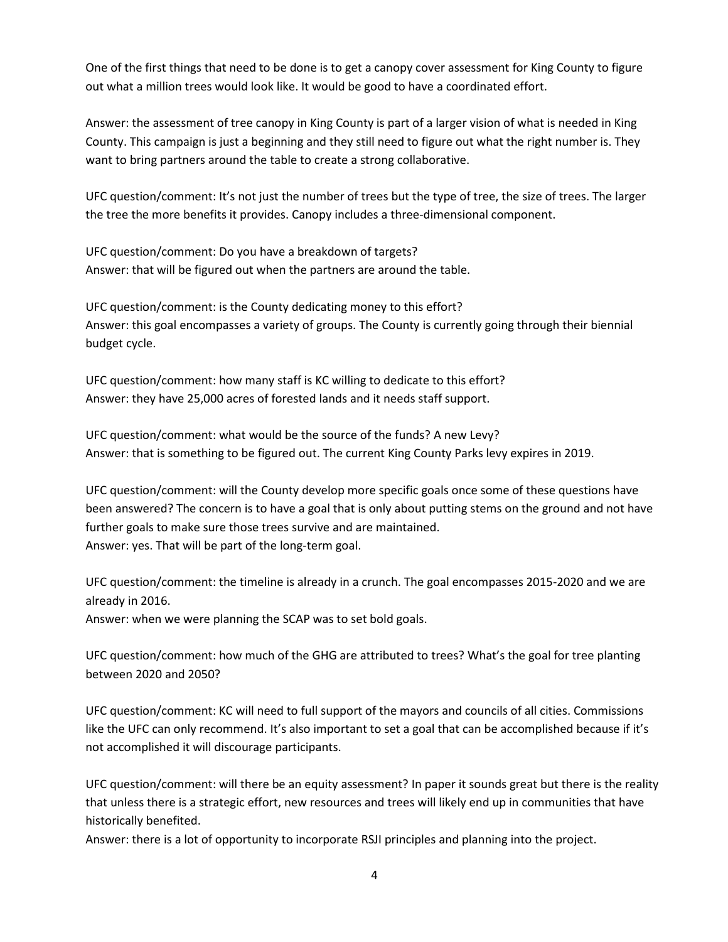One of the first things that need to be done is to get a canopy cover assessment for King County to figure out what a million trees would look like. It would be good to have a coordinated effort.

Answer: the assessment of tree canopy in King County is part of a larger vision of what is needed in King County. This campaign is just a beginning and they still need to figure out what the right number is. They want to bring partners around the table to create a strong collaborative.

UFC question/comment: It's not just the number of trees but the type of tree, the size of trees. The larger the tree the more benefits it provides. Canopy includes a three-dimensional component.

UFC question/comment: Do you have a breakdown of targets? Answer: that will be figured out when the partners are around the table.

UFC question/comment: is the County dedicating money to this effort? Answer: this goal encompasses a variety of groups. The County is currently going through their biennial budget cycle.

UFC question/comment: how many staff is KC willing to dedicate to this effort? Answer: they have 25,000 acres of forested lands and it needs staff support.

UFC question/comment: what would be the source of the funds? A new Levy? Answer: that is something to be figured out. The current King County Parks levy expires in 2019.

UFC question/comment: will the County develop more specific goals once some of these questions have been answered? The concern is to have a goal that is only about putting stems on the ground and not have further goals to make sure those trees survive and are maintained. Answer: yes. That will be part of the long-term goal.

UFC question/comment: the timeline is already in a crunch. The goal encompasses 2015-2020 and we are already in 2016.

Answer: when we were planning the SCAP was to set bold goals.

UFC question/comment: how much of the GHG are attributed to trees? What's the goal for tree planting between 2020 and 2050?

UFC question/comment: KC will need to full support of the mayors and councils of all cities. Commissions like the UFC can only recommend. It's also important to set a goal that can be accomplished because if it's not accomplished it will discourage participants.

UFC question/comment: will there be an equity assessment? In paper it sounds great but there is the reality that unless there is a strategic effort, new resources and trees will likely end up in communities that have historically benefited.

Answer: there is a lot of opportunity to incorporate RSJI principles and planning into the project.